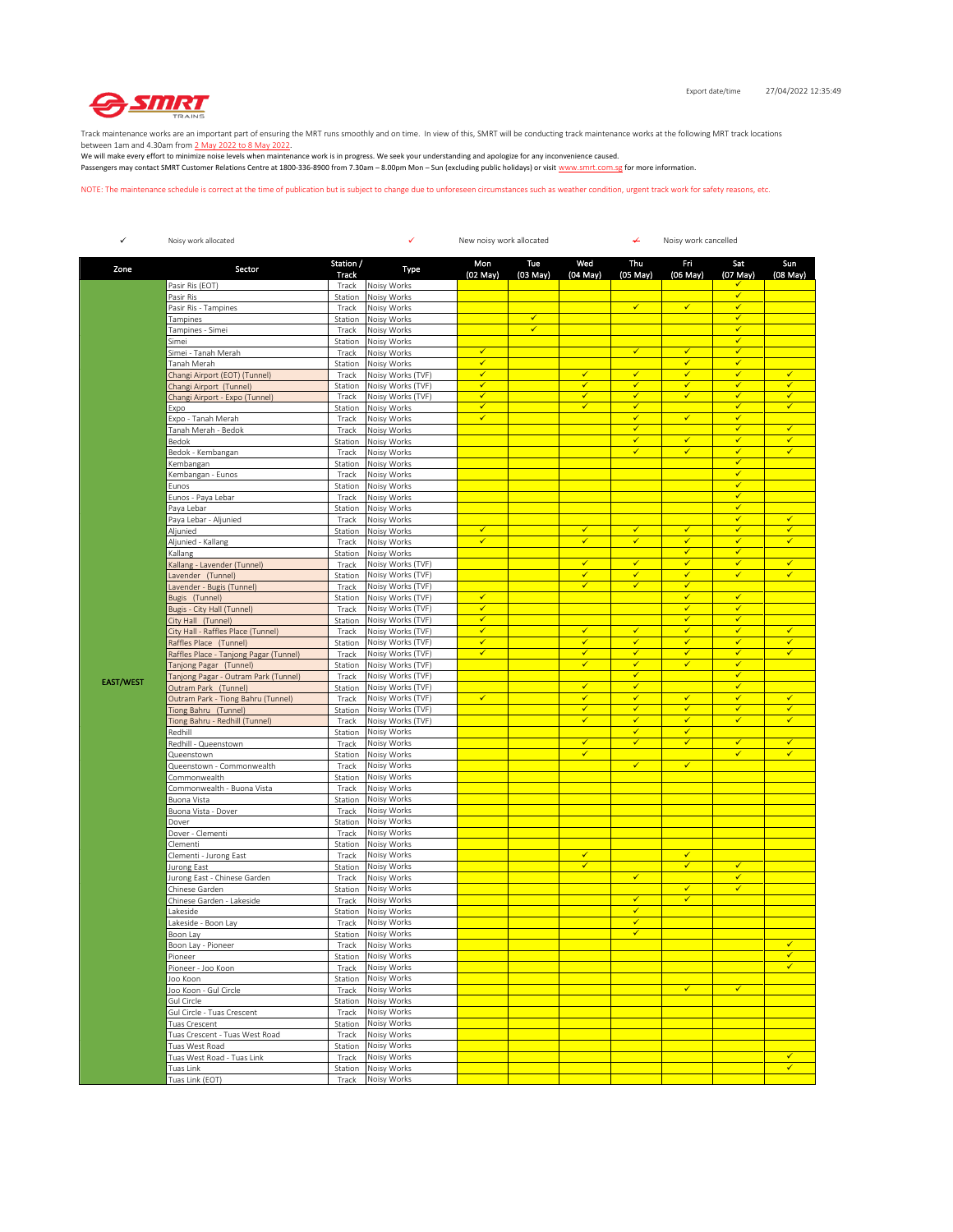

Track maintenance works are an important part of ensuring the MRT runs smoothly and on time. In view of this, SMRT will be conducting track maintenance works at the following MRT track locations

between 1am and 4.30am from <u>2 May 2022 to 8 May 2022</u>.<br>We will make every effort to minimize noise levels when maintenance work is in progress. We seek your understanding and apologize for any inconvenience caused. Passengers may contact SMRT Customer Relations Centre at 1800-336-8900 from 7.30am – 8.00pm Mon – Sun (excluding public holidays) or visit www.smrt.com.sg for more information.

NOTE: The maintenance schedule is correct at the time of publication but is subject to change due to unforeseen circumstances such as weather condition, urgent track work for safety reasons, etc.

| $\checkmark$     | Noisy work allocated                                         |                    | ✓<br>New noisy work allocated<br>↵     |                              |                 |                              | Noisy work cancelled         |                                         |                              |                                         |
|------------------|--------------------------------------------------------------|--------------------|----------------------------------------|------------------------------|-----------------|------------------------------|------------------------------|-----------------------------------------|------------------------------|-----------------------------------------|
| Zone             | Sector                                                       | Station /<br>Track | Type                                   | Mon<br>(02 May)              | Tue<br>(03 May) | Wed<br>(04 May)              | Thu<br>$(05$ May $)$         | Fri<br>(06 May)                         | Sat<br>(07 May)              | Sun<br>(08 May)                         |
|                  | Pasir Ris (EOT)                                              | Track              | Noisy Works                            |                              |                 |                              |                              |                                         |                              |                                         |
|                  | Pasir Ris                                                    | Station<br>Track   | Noisy Works                            |                              |                 |                              | $\checkmark$                 | $\checkmark$                            | $\checkmark$<br>$\checkmark$ |                                         |
|                  | Pasir Ris - Tampines<br>Tampines                             | Station            | Noisy Works<br>Noisy Works             |                              | $\checkmark$    |                              |                              |                                         | $\checkmark$                 |                                         |
|                  | Tampines - Simei                                             | Track              | Noisy Works                            |                              | $\checkmark$    |                              |                              |                                         | $\overline{\checkmark}$      |                                         |
|                  | Simei                                                        | Station            | Noisy Works                            |                              |                 |                              |                              |                                         | $\checkmark$                 |                                         |
|                  | Simei - Tanah Merah                                          | Track              | Noisy Works                            | $\checkmark$                 |                 |                              | $\checkmark$                 | $\checkmark$                            | $\checkmark$                 |                                         |
|                  | Tanah Merah                                                  | Station            | Noisy Works                            | $\checkmark$                 |                 |                              |                              | $\checkmark$                            | $\checkmark$                 |                                         |
|                  | Changi Airport (EOT) (Tunnel)                                | Track<br>Station   | Noisy Works (TVF)<br>Noisy Works (TVF) | $\checkmark$<br>✓            |                 | $\checkmark$<br>$\checkmark$ | $\checkmark$<br>$\checkmark$ | $\checkmark$<br>$\overline{\checkmark}$ | $\checkmark$<br>$\checkmark$ | $\checkmark$<br>$\overline{\checkmark}$ |
|                  | Changi Airport (Tunnel)<br>Changi Airport - Expo (Tunnel)    | Track              | Noisy Works (TVF)                      | $\checkmark$                 |                 | $\checkmark$                 | $\checkmark$                 | ✓                                       | $\checkmark$                 | $\checkmark$                            |
|                  | Expo                                                         | Station            | Noisy Works                            | ✓                            |                 | ✓                            | $\checkmark$                 |                                         | $\checkmark$                 | $\checkmark$                            |
|                  | Expo - Tanah Merah                                           | Track              | Noisy Works                            | $\checkmark$                 |                 |                              | $\checkmark$                 | $\checkmark$                            | $\checkmark$                 |                                         |
|                  | Tanah Merah - Bedok                                          | Track              | Noisy Works                            |                              |                 |                              | $\checkmark$                 |                                         | $\checkmark$                 | $\checkmark$                            |
|                  | Bedok                                                        | Station            | Noisy Works                            |                              |                 |                              | $\checkmark$<br>$\checkmark$ | $\checkmark$<br>✓                       | $\checkmark$<br>$\checkmark$ | $\checkmark$<br>$\checkmark$            |
|                  | Bedok - Kembangan<br>Kembangan                               | Track<br>Station   | Noisy Works<br>Noisy Works             |                              |                 |                              |                              |                                         | ✓                            |                                         |
|                  | Kembangan - Eunos                                            | Track              | Noisy Works                            |                              |                 |                              |                              |                                         | $\checkmark$                 |                                         |
|                  | Eunos                                                        | Station            | Noisy Works                            |                              |                 |                              |                              |                                         | $\checkmark$                 |                                         |
|                  | Eunos - Paya Lebar                                           | Track              | Noisy Works                            |                              |                 |                              |                              |                                         | $\checkmark$                 |                                         |
|                  | Paya Lebar                                                   | Station            | Noisy Works                            |                              |                 |                              |                              |                                         | $\checkmark$                 |                                         |
|                  | Paya Lebar - Aljunied                                        | Track              | Noisy Works                            |                              |                 |                              |                              |                                         | ✔                            | ✓                                       |
|                  | Aljunied                                                     | Station            | Noisy Works                            | $\checkmark$<br>$\checkmark$ |                 | $\checkmark$<br>✓            | $\checkmark$<br>$\checkmark$ | $\checkmark$<br>✓                       | $\checkmark$<br>$\checkmark$ | $\checkmark$<br>$\checkmark$            |
|                  | Aljunied - Kallang<br>Kallang                                | Track<br>Station   | Noisy Works<br>Noisy Works             |                              |                 |                              |                              | $\checkmark$                            | $\checkmark$                 |                                         |
|                  | Kallang - Lavender (Tunnel)                                  | Track              | Noisy Works (TVF)                      |                              |                 | ✓                            | $\checkmark$                 | $\checkmark$                            | $\checkmark$                 | $\checkmark$                            |
|                  | Lavender (Tunnel)                                            | Station            | Noisy Works (TVF)                      |                              |                 | $\checkmark$                 | ✓                            | ✔                                       | $\checkmark$                 | ✓                                       |
|                  | Lavender - Bugis (Tunnel)                                    | Track              | Noisy Works (TVF)                      |                              |                 | ✓                            | $\checkmark$                 | $\checkmark$                            |                              |                                         |
|                  | Bugis (Tunnel)                                               | Station            | Noisy Works (TVF)                      | $\checkmark$                 |                 |                              |                              | $\checkmark$                            | $\checkmark$                 |                                         |
|                  | Bugis - City Hall (Tunnel)                                   | Track              | Noisy Works (TVF)                      | $\checkmark$                 |                 |                              |                              | $\checkmark$                            | $\checkmark$                 |                                         |
|                  | City Hall (Tunnel)                                           | Station            | Noisy Works (TVF)                      | ✓<br>✔                       |                 | $\checkmark$                 | $\checkmark$                 | $\checkmark$<br>√                       | $\checkmark$<br>✓            | ✓                                       |
|                  | City Hall - Raffles Place (Tunnel)<br>Raffles Place (Tunnel) | Track<br>Station   | Noisy Works (TVF)<br>Noisy Works (TVF) | ✓                            |                 | ✓                            | ✔                            | $\checkmark$                            | $\checkmark$                 | $\checkmark$                            |
|                  | Raffles Place - Tanjong Pagar (Tunnel)                       | Track              | Noisy Works (TVF)                      | ✓                            |                 | ✓                            | $\checkmark$                 | ✓                                       | $\checkmark$                 | ✓                                       |
|                  | Tanjong Pagar (Tunnel)                                       | Station            | Noisy Works (TVF)                      |                              |                 | $\checkmark$                 | $\checkmark$                 | $\checkmark$                            | $\checkmark$                 |                                         |
| <b>EAST/WEST</b> | Tanjong Pagar - Outram Park (Tunnel)                         | Track              | Noisy Works (TVF)                      |                              |                 |                              | $\checkmark$                 |                                         | $\checkmark$                 |                                         |
|                  | Outram Park (Tunnel)                                         | Station            | Noisy Works (TVF)                      |                              |                 | $\checkmark$                 | $\checkmark$                 |                                         | $\checkmark$                 |                                         |
|                  | Outram Park - Tiong Bahru (Tunnel)                           | Track              | Noisy Works (TVF)                      | $\checkmark$                 |                 | ✓                            | $\checkmark$                 | $\checkmark$                            | $\checkmark$                 | $\checkmark$<br>$\checkmark$            |
|                  | Tiong Bahru (Tunnel)<br>Tiong Bahru - Redhill (Tunnel)       | Station<br>Track   | Noisy Works (TVF)<br>Noisy Works (TVF) |                              |                 | ✓<br>$\checkmark$            | $\checkmark$<br>$\checkmark$ | √<br>$\checkmark$                       | $\checkmark$<br>$\checkmark$ | $\checkmark$                            |
|                  | Redhill                                                      | Station            | Noisy Works                            |                              |                 |                              | $\checkmark$                 | $\checkmark$                            |                              |                                         |
|                  | Redhill - Queenstown                                         | Track              | Noisy Works                            |                              |                 | $\checkmark$                 | $\checkmark$                 | $\checkmark$                            | $\checkmark$                 | $\checkmark$                            |
|                  | Queenstown                                                   | Station            | Noisy Works                            |                              |                 | ✓                            |                              |                                         | $\checkmark$                 | ✓                                       |
|                  | Queenstown - Commonwealth                                    | Track              | Noisy Works                            |                              |                 |                              | $\checkmark$                 | $\checkmark$                            |                              |                                         |
|                  | Commonwealth                                                 | Station            | Noisy Works                            |                              |                 |                              |                              |                                         |                              |                                         |
|                  | Commonwealth - Buona Vista<br>Buona Vista                    | Track<br>Station   | Noisy Works<br>Noisy Works             |                              |                 |                              |                              |                                         |                              |                                         |
|                  | Buona Vista - Dover                                          | Track              | Noisy Works                            |                              |                 |                              |                              |                                         |                              |                                         |
|                  | Dover                                                        | Station            | Noisy Works                            |                              |                 |                              |                              |                                         |                              |                                         |
|                  | Dover - Clementi                                             | Track              | Noisy Works                            |                              |                 |                              |                              |                                         |                              |                                         |
|                  | Clementi                                                     | Station            | Noisy Works                            |                              |                 |                              |                              |                                         |                              |                                         |
|                  | Clementi - Jurong East                                       | Track              | Noisy Works                            |                              |                 | $\checkmark$<br>✓            |                              | $\checkmark$<br>$\checkmark$            | $\checkmark$                 |                                         |
|                  | Jurong East<br>Jurong East - Chinese Garden                  | Station<br>Track   | Noisy Works<br>Noisy Works             |                              |                 |                              | $\checkmark$                 |                                         | $\checkmark$                 |                                         |
|                  | Chinese Garden                                               | Station            | Noisy Works                            |                              |                 |                              |                              | $\checkmark$                            | $\checkmark$                 |                                         |
|                  | Chinese Garden - Lakeside                                    | Track              | Noisy Works                            |                              |                 |                              | ✔                            | $\checkmark$                            |                              |                                         |
|                  | Lakeside                                                     | Station            | Noisy Works                            |                              |                 |                              | $\checkmark$                 |                                         |                              |                                         |
|                  | Lakeside - Boon Lay                                          | Track              | Noisy Works                            |                              |                 |                              | $\checkmark$                 |                                         |                              |                                         |
|                  | Boon Lay                                                     |                    | Station Noisy Works                    |                              |                 |                              |                              |                                         |                              | $\checkmark$                            |
|                  | Boon Lay - Pioneer                                           | Track              | Noisy Works<br>Station Noisy Works     |                              |                 |                              |                              |                                         |                              | $\checkmark$                            |
|                  | Pioneer<br>Pioneer - Joo Koon                                | Track              | Noisy Works                            |                              |                 |                              |                              |                                         |                              | $\checkmark$                            |
|                  | Joo Koon                                                     | Station            | Noisy Works                            |                              |                 |                              |                              |                                         |                              |                                         |
|                  | Joo Koon - Gul Circle                                        | Track              | Noisy Works                            |                              |                 |                              |                              | $\checkmark$                            | $\checkmark$                 |                                         |
|                  | Gul Circle                                                   | Station            | Noisy Works                            |                              |                 |                              |                              |                                         |                              |                                         |
|                  | Gul Circle - Tuas Crescent                                   | Track              | Noisy Works                            |                              |                 |                              |                              |                                         |                              |                                         |
|                  | Tuas Crescent                                                | Station            | Noisy Works                            |                              |                 |                              |                              |                                         |                              |                                         |
|                  | Tuas Crescent - Tuas West Road<br>Tuas West Road             | Track<br>Station   | Noisy Works<br>Noisy Works             |                              |                 |                              |                              |                                         |                              |                                         |
|                  | Tuas West Road - Tuas Link                                   | Track              | Noisy Works                            |                              |                 |                              |                              |                                         |                              | $\checkmark$                            |
|                  | Tuas Link                                                    | Station            | Noisy Works                            |                              |                 |                              |                              |                                         |                              | $\checkmark$                            |
|                  | Tuas Link (EOT)                                              | Track              | Noisy Works                            |                              |                 |                              |                              |                                         |                              |                                         |